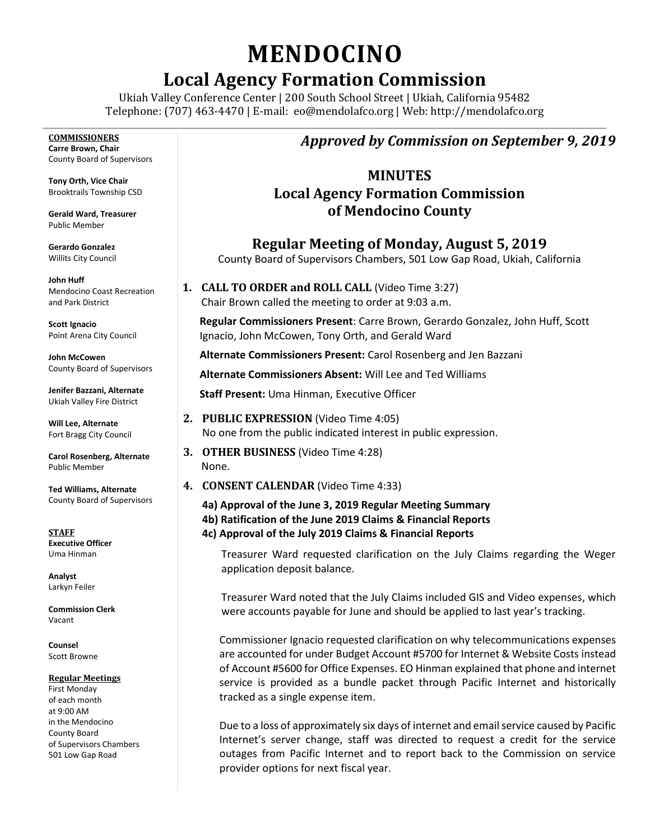# **MENDOCINO**

# **Local Agency Formation Commission**

Ukiah Valley Conference Center | 200 South School Street | Ukiah, California 95482 Telephone: (707) 463-4470 | E-mail: [eo@mendolafco.org](mailto:eo@mendolafco.org) | Web: http://mendolafco.org

**COMMISSIONERS Carre Brown, Chair** County Board of Supervisors **Tony Orth, Vice Chair** Brooktrails Township CSD **Gerald Ward, Treasurer** Public Member **Gerardo Gonzalez** Willits City Council **John Huff**  Mendocino Coast Recreation and Park District **Scott Ignacio** Point Arena City Council **John McCowen** County Board of Supervisors **Jenifer Bazzani, Alternate** Ukiah Valley Fire District **Will Lee, Alternate** Fort Bragg City Council **Carol Rosenberg, Alternate** Public Member **Ted Williams, Alternate** County Board of Supervisors **STAFF Executive Officer** Uma Hinman **Analyst** Larkyn Feiler **Commission Clerk** Vacant None.

**Counsel** Scott Browne

#### **Regular Meetings**

First Monday of each month at 9:00 AM in the Mendocino County Board of Supervisors Chambers 501 Low Gap Road

## *Approved by Commission on September 9, 2019*

### **MINUTES Local Agency Formation Commission of Mendocino County**

**Regular Meeting of Monday, August 5, 2019** County Board of Supervisors Chambers, 501 Low Gap Road, Ukiah, California

**1. CALL TO ORDER and ROLL CALL** (Video Time 3:27) Chair Brown called the meeting to order at 9:03 a.m.

**Regular Commissioners Present**: Carre Brown, Gerardo Gonzalez, John Huff, Scott Ignacio, John McCowen, Tony Orth, and Gerald Ward

**Alternate Commissioners Present:** Carol Rosenberg and Jen Bazzani

**Alternate Commissioners Absent:** Will Lee and Ted Williams

**Staff Present:** Uma Hinman, Executive Officer

- **2. PUBLIC EXPRESSION** (Video Time 4:05) No one from the public indicated interest in public expression.
- **3. OTHER BUSINESS** (Video Time 4:28)
- **4. CONSENT CALENDAR** (Video Time 4:33)
	- **4a) Approval of the June 3, 2019 Regular Meeting Summary 4b) Ratification of the June 2019 Claims & Financial Reports 4c) Approval of the July 2019 Claims & Financial Reports**

Treasurer Ward requested clarification on the July Claims regarding the Weger application deposit balance.

Treasurer Ward noted that the July Claims included GIS and Video expenses, which were accounts payable for June and should be applied to last year's tracking.

Commissioner Ignacio requested clarification on why telecommunications expenses are accounted for under Budget Account #5700 for Internet & Website Costs instead of Account #5600 for Office Expenses. EO Hinman explained that phone and internet service is provided as a bundle packet through Pacific Internet and historically tracked as a single expense item.

Due to a loss of approximately six days of internet and email service caused by Pacific Internet's server change, staff was directed to request a credit for the service outages from Pacific Internet and to report back to the Commission on service provider options for next fiscal year.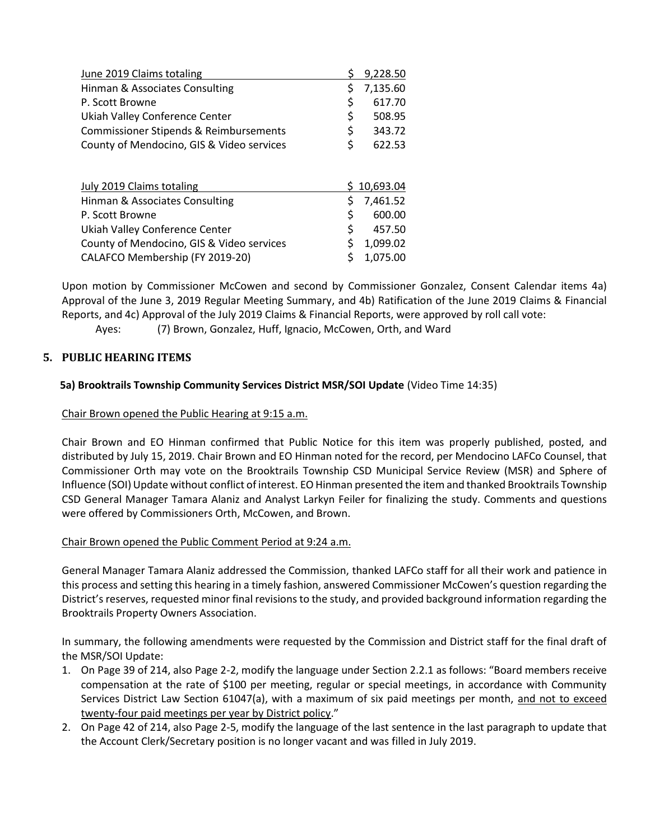| June 2019 Claims totaling                 | 9,228.50       |
|-------------------------------------------|----------------|
| Hinman & Associates Consulting            | \$<br>7,135.60 |
| P. Scott Browne                           | \$<br>617.70   |
| Ukiah Valley Conference Center            | \$<br>508.95   |
| Commissioner Stipends & Reimbursements    | \$<br>343.72   |
| County of Mendocino, GIS & Video services | \$<br>622.53   |
| July 2019 Claims totaling                 | 10,693.04      |
| Hinman & Associates Consulting            | \$<br>7,461.52 |
| P. Scott Browne                           | \$<br>600.00   |
| Ukiah Valley Conference Center            | \$<br>457.50   |
| County of Mendocino, GIS & Video services | \$<br>1,099.02 |
| CALAFCO Membership (FY 2019-20)           | \$<br>1,075.00 |

Upon motion by Commissioner McCowen and second by Commissioner Gonzalez, Consent Calendar items 4a) Approval of the June 3, 2019 Regular Meeting Summary, and 4b) Ratification of the June 2019 Claims & Financial Reports, and 4c) Approval of the July 2019 Claims & Financial Reports, were approved by roll call vote:

Ayes: (7) Brown, Gonzalez, Huff, Ignacio, McCowen, Orth, and Ward

#### **5. PUBLIC HEARING ITEMS**

#### **5a) Brooktrails Township Community Services District MSR/SOI Update** (Video Time 14:35)

#### Chair Brown opened the Public Hearing at 9:15 a.m.

Chair Brown and EO Hinman confirmed that Public Notice for this item was properly published, posted, and distributed by July 15, 2019. Chair Brown and EO Hinman noted for the record, per Mendocino LAFCo Counsel, that Commissioner Orth may vote on the Brooktrails Township CSD Municipal Service Review (MSR) and Sphere of Influence (SOI) Update without conflict of interest. EO Hinman presented the item and thanked Brooktrails Township CSD General Manager Tamara Alaniz and Analyst Larkyn Feiler for finalizing the study. Comments and questions were offered by Commissioners Orth, McCowen, and Brown.

#### Chair Brown opened the Public Comment Period at 9:24 a.m.

General Manager Tamara Alaniz addressed the Commission, thanked LAFCo staff for all their work and patience in this process and setting this hearing in a timely fashion, answered Commissioner McCowen's question regarding the District's reserves, requested minor final revisions to the study, and provided background information regarding the Brooktrails Property Owners Association.

In summary, the following amendments were requested by the Commission and District staff for the final draft of the MSR/SOI Update:

- 1. On Page 39 of 214, also Page 2-2, modify the language under Section 2.2.1 as follows: "Board members receive compensation at the rate of \$100 per meeting, regular or special meetings, in accordance with Community Services District Law Section 61047(a), with a maximum of six paid meetings per month, and not to exceed twenty-four paid meetings per year by District policy."
- 2. On Page 42 of 214, also Page 2-5, modify the language of the last sentence in the last paragraph to update that the Account Clerk/Secretary position is no longer vacant and was filled in July 2019.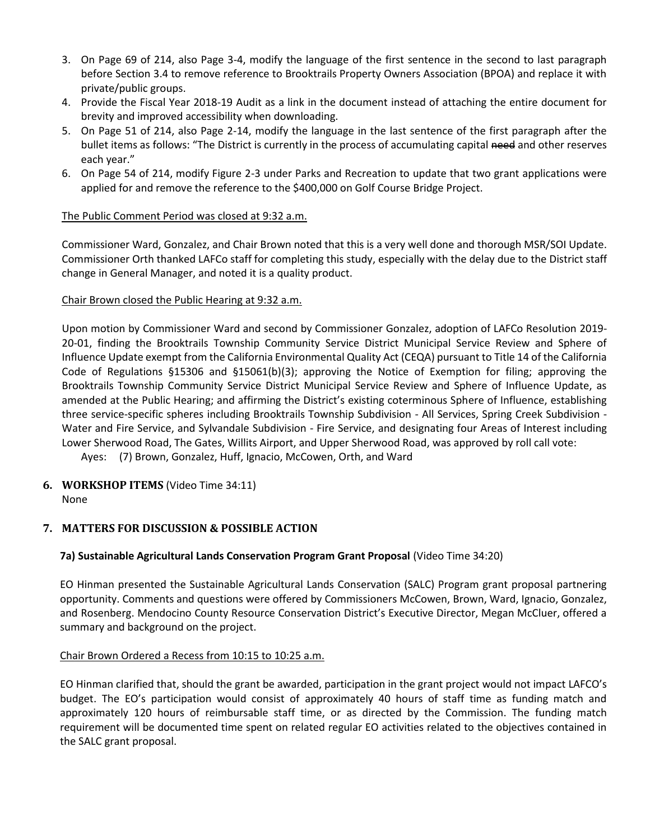- 3. On Page 69 of 214, also Page 3-4, modify the language of the first sentence in the second to last paragraph before Section 3.4 to remove reference to Brooktrails Property Owners Association (BPOA) and replace it with private/public groups.
- 4. Provide the Fiscal Year 2018-19 Audit as a link in the document instead of attaching the entire document for brevity and improved accessibility when downloading.
- 5. On Page 51 of 214, also Page 2-14, modify the language in the last sentence of the first paragraph after the bullet items as follows: "The District is currently in the process of accumulating capital need and other reserves each year."
- 6. On Page 54 of 214, modify Figure 2-3 under Parks and Recreation to update that two grant applications were applied for and remove the reference to the \$400,000 on Golf Course Bridge Project.

#### The Public Comment Period was closed at 9:32 a.m.

Commissioner Ward, Gonzalez, and Chair Brown noted that this is a very well done and thorough MSR/SOI Update. Commissioner Orth thanked LAFCo staff for completing this study, especially with the delay due to the District staff change in General Manager, and noted it is a quality product.

#### Chair Brown closed the Public Hearing at 9:32 a.m.

Upon motion by Commissioner Ward and second by Commissioner Gonzalez, adoption of LAFCo Resolution 2019- 20-01, finding the Brooktrails Township Community Service District Municipal Service Review and Sphere of Influence Update exempt from the California Environmental Quality Act (CEQA) pursuant to Title 14 of the California Code of Regulations §15306 and §15061(b)(3); approving the Notice of Exemption for filing; approving the Brooktrails Township Community Service District Municipal Service Review and Sphere of Influence Update, as amended at the Public Hearing; and affirming the District's existing coterminous Sphere of Influence, establishing three service-specific spheres including Brooktrails Township Subdivision - All Services, Spring Creek Subdivision - Water and Fire Service, and Sylvandale Subdivision - Fire Service, and designating four Areas of Interest including Lower Sherwood Road, The Gates, Willits Airport, and Upper Sherwood Road, was approved by roll call vote: Ayes: (7) Brown, Gonzalez, Huff, Ignacio, McCowen, Orth, and Ward

**6. WORKSHOP ITEMS** (Video Time 34:11)

None

#### **7. MATTERS FOR DISCUSSION & POSSIBLE ACTION**

#### **7a) Sustainable Agricultural Lands Conservation Program Grant Proposal** (Video Time 34:20)

EO Hinman presented the Sustainable Agricultural Lands Conservation (SALC) Program grant proposal partnering opportunity. Comments and questions were offered by Commissioners McCowen, Brown, Ward, Ignacio, Gonzalez, and Rosenberg. Mendocino County Resource Conservation District's Executive Director, Megan McCluer, offered a summary and background on the project.

#### Chair Brown Ordered a Recess from 10:15 to 10:25 a.m.

EO Hinman clarified that, should the grant be awarded, participation in the grant project would not impact LAFCO's budget. The EO's participation would consist of approximately 40 hours of staff time as funding match and approximately 120 hours of reimbursable staff time, or as directed by the Commission. The funding match requirement will be documented time spent on related regular EO activities related to the objectives contained in the SALC grant proposal.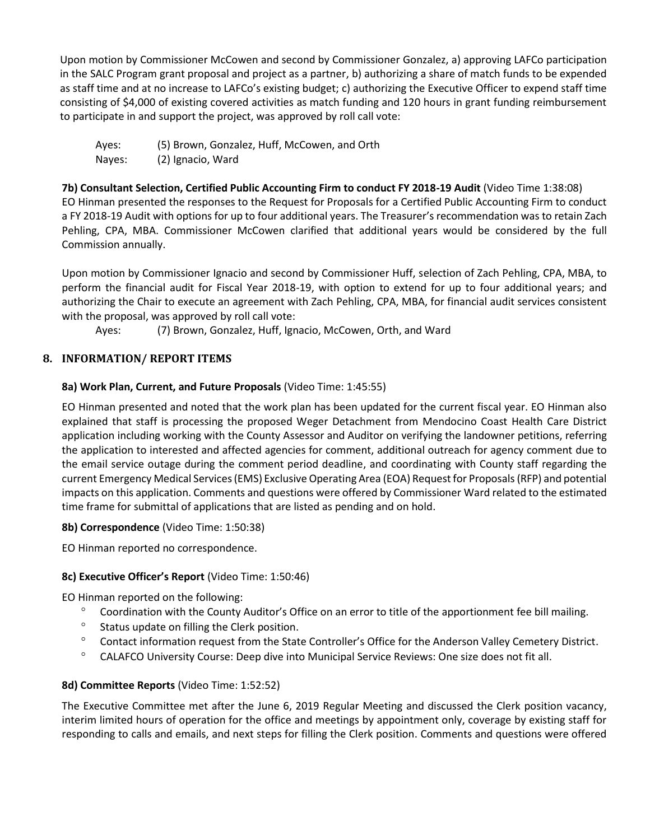Upon motion by Commissioner McCowen and second by Commissioner Gonzalez, a) approving LAFCo participation in the SALC Program grant proposal and project as a partner, b) authorizing a share of match funds to be expended as staff time and at no increase to LAFCo's existing budget; c) authorizing the Executive Officer to expend staff time consisting of \$4,000 of existing covered activities as match funding and 120 hours in grant funding reimbursement to participate in and support the project, was approved by roll call vote:

Ayes: (5) Brown, Gonzalez, Huff, McCowen, and Orth Nayes: (2) Ignacio, Ward

**7b) Consultant Selection, Certified Public Accounting Firm to conduct FY 2018-19 Audit** (Video Time 1:38:08) EO Hinman presented the responses to the Request for Proposals for a Certified Public Accounting Firm to conduct a FY 2018-19 Audit with options for up to four additional years. The Treasurer's recommendation was to retain Zach Pehling, CPA, MBA. Commissioner McCowen clarified that additional years would be considered by the full Commission annually.

Upon motion by Commissioner Ignacio and second by Commissioner Huff, selection of Zach Pehling, CPA, MBA, to perform the financial audit for Fiscal Year 2018-19, with option to extend for up to four additional years; and authorizing the Chair to execute an agreement with Zach Pehling, CPA, MBA, for financial audit services consistent with the proposal, was approved by roll call vote:

Ayes: (7) Brown, Gonzalez, Huff, Ignacio, McCowen, Orth, and Ward

#### **8. INFORMATION/ REPORT ITEMS**

#### **8a) Work Plan, Current, and Future Proposals** (Video Time: 1:45:55)

EO Hinman presented and noted that the work plan has been updated for the current fiscal year. EO Hinman also explained that staff is processing the proposed Weger Detachment from Mendocino Coast Health Care District application including working with the County Assessor and Auditor on verifying the landowner petitions, referring the application to interested and affected agencies for comment, additional outreach for agency comment due to the email service outage during the comment period deadline, and coordinating with County staff regarding the current Emergency Medical Services (EMS) Exclusive Operating Area (EOA) Request for Proposals (RFP) and potential impacts on this application. Comments and questions were offered by Commissioner Ward related to the estimated time frame for submittal of applications that are listed as pending and on hold.

#### **8b) Correspondence** (Video Time: 1:50:38)

EO Hinman reported no correspondence.

#### **8c) Executive Officer's Report** (Video Time: 1:50:46)

EO Hinman reported on the following:

- <sup>o</sup> Coordination with the County Auditor's Office on an error to title of the apportionment fee bill mailing.
- $\degree$  Status update on filling the Clerk position.
- ° Contact information request from the State Controller's Office for the Anderson Valley Cemetery District.
- CALAFCO University Course: Deep dive into Municipal Service Reviews: One size does not fit all.

#### **8d) Committee Reports** (Video Time: 1:52:52)

The Executive Committee met after the June 6, 2019 Regular Meeting and discussed the Clerk position vacancy, interim limited hours of operation for the office and meetings by appointment only, coverage by existing staff for responding to calls and emails, and next steps for filling the Clerk position. Comments and questions were offered